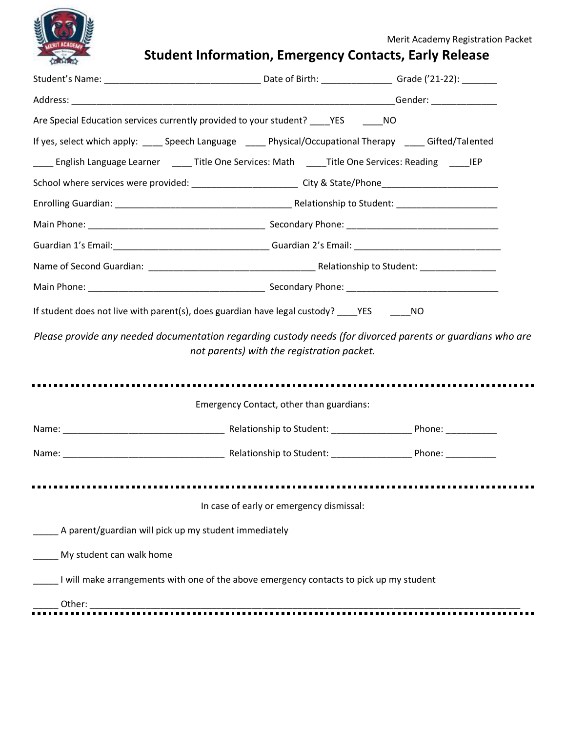

# **Student Information, Emergency Contacts, Early Release**

| Are Special Education services currently provided to your student? ______ YES _______ NO                       |                                            |  |
|----------------------------------------------------------------------------------------------------------------|--------------------------------------------|--|
| If yes, select which apply: _____ Speech Language _____ Physical/Occupational Therapy _____ Gifted/Talented    |                                            |  |
| ____ English Language Learner _____ Title One Services: Math _____ Title One Services: Reading _____ IEP       |                                            |  |
| School where services were provided: _____________________________City & State/Phone__________________________ |                                            |  |
|                                                                                                                |                                            |  |
|                                                                                                                |                                            |  |
|                                                                                                                |                                            |  |
|                                                                                                                |                                            |  |
|                                                                                                                |                                            |  |
| If student does not live with parent(s), does guardian have legal custody? ____YES ______NO                    |                                            |  |
| Please provide any needed documentation regarding custody needs (for divorced parents or quardians who are     | not parents) with the registration packet. |  |
|                                                                                                                | Emergency Contact, other than guardians:   |  |
|                                                                                                                |                                            |  |
|                                                                                                                |                                            |  |
|                                                                                                                | In case of early or emergency dismissal:   |  |
| A parent/guardian will pick up my student immediately                                                          |                                            |  |
| My student can walk home                                                                                       |                                            |  |
|                                                                                                                |                                            |  |
| I will make arrangements with one of the above emergency contacts to pick up my student                        |                                            |  |
| Other:                                                                                                         |                                            |  |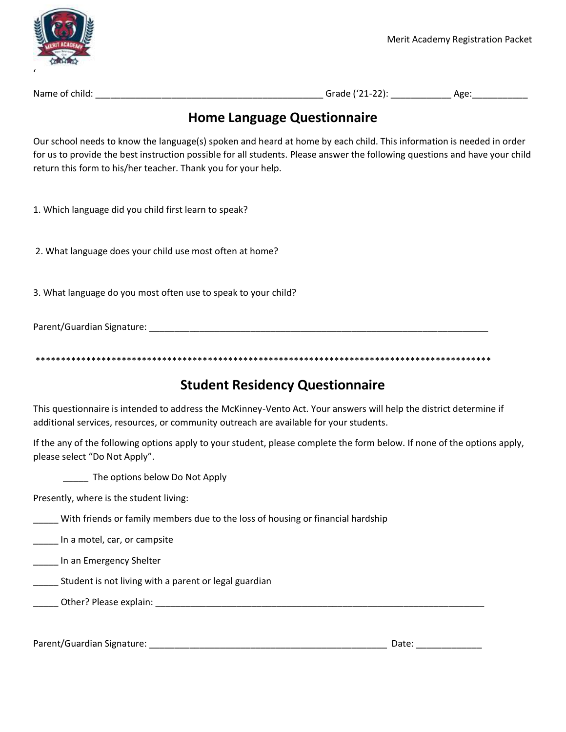

Name of child: \_\_\_\_\_\_\_\_\_\_\_\_\_\_\_\_\_\_\_\_\_\_\_\_\_\_\_\_\_\_\_\_\_\_\_\_\_\_\_\_\_\_\_\_\_ Grade ('21-22): \_\_\_\_\_\_\_\_\_\_\_\_ Age:\_\_\_\_\_\_\_\_\_\_\_

### **Home Language Questionnaire**

Our school needs to know the language(s) spoken and heard at home by each child. This information is needed in order for us to provide the best instruction possible for all students. Please answer the following questions and have your child return this form to his/her teacher. Thank you for your help.

1. Which language did you child first learn to speak?

2. What language does your child use most often at home?

3. What language do you most often use to speak to your child?

Parent/Guardian Signature: **Example 2018** 

\*\*\*\*\*\*\*\*\*\*\*\*\*\*\*\*\*\*\*\*\*\*\*\*\*\*\*\*\*\*\*\*\*\*\*\*\*\*\*\*\*\*\*\*\*\*\*\*\*\*\*\*\*\*\*\*\*\*\*\*\*\*\*\*\*\*\*\*\*\*\*\*\*\*\*\*\*\*\*\*\*\*\*\*\*\*\*\*\*\*

### **Student Residency Questionnaire**

This questionnaire is intended to address the McKinney-Vento Act. Your answers will help the district determine if additional services, resources, or community outreach are available for your students.

If the any of the following options apply to your student, please complete the form below. If none of the options apply, please select "Do Not Apply".

The options below Do Not Apply

Presently, where is the student living:

\_\_\_\_\_ With friends or family members due to the loss of housing or financial hardship

\_\_\_\_\_ In a motel, car, or campsite

\_\_\_\_\_ In an Emergency Shelter

**Example 20** Student is not living with a parent or legal guardian

\_\_\_\_\_ Other? Please explain: \_\_\_\_\_\_\_\_\_\_\_\_\_\_\_\_\_\_\_\_\_\_\_\_\_\_\_\_\_\_\_\_\_\_\_\_\_\_\_\_\_\_\_\_\_\_\_\_\_\_\_\_\_\_\_\_\_\_\_\_\_\_\_\_\_

Parent/Guardian Signature: \_\_\_\_\_\_\_\_\_\_\_\_\_\_\_\_\_\_\_\_\_\_\_\_\_\_\_\_\_\_\_\_\_\_\_\_\_\_\_\_\_\_\_\_\_\_\_ Date: \_\_\_\_\_\_\_\_\_\_\_\_\_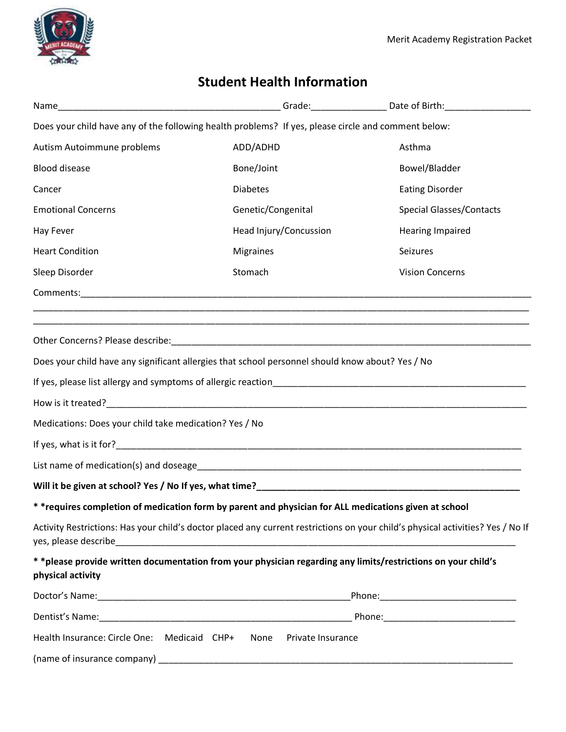



## **Student Health Information**

| Name                                                   |                                                                                                               |                                                                                                                                 |
|--------------------------------------------------------|---------------------------------------------------------------------------------------------------------------|---------------------------------------------------------------------------------------------------------------------------------|
|                                                        | Does your child have any of the following health problems? If yes, please circle and comment below:           |                                                                                                                                 |
| Autism Autoimmune problems                             | ADD/ADHD                                                                                                      | Asthma                                                                                                                          |
| <b>Blood disease</b>                                   | Bone/Joint                                                                                                    | Bowel/Bladder                                                                                                                   |
| Cancer                                                 | <b>Diabetes</b>                                                                                               | <b>Eating Disorder</b>                                                                                                          |
| <b>Emotional Concerns</b>                              | Genetic/Congenital                                                                                            | <b>Special Glasses/Contacts</b>                                                                                                 |
| Hay Fever                                              | Head Injury/Concussion                                                                                        | <b>Hearing Impaired</b>                                                                                                         |
| <b>Heart Condition</b>                                 | <b>Migraines</b>                                                                                              | Seizures                                                                                                                        |
| Sleep Disorder                                         | Stomach                                                                                                       | <b>Vision Concerns</b>                                                                                                          |
|                                                        |                                                                                                               |                                                                                                                                 |
|                                                        |                                                                                                               |                                                                                                                                 |
|                                                        |                                                                                                               |                                                                                                                                 |
|                                                        | Does your child have any significant allergies that school personnel should know about? Yes / No              |                                                                                                                                 |
|                                                        |                                                                                                               |                                                                                                                                 |
|                                                        |                                                                                                               |                                                                                                                                 |
| Medications: Does your child take medication? Yes / No |                                                                                                               |                                                                                                                                 |
|                                                        |                                                                                                               |                                                                                                                                 |
|                                                        |                                                                                                               |                                                                                                                                 |
|                                                        |                                                                                                               |                                                                                                                                 |
|                                                        | * *requires completion of medication form by parent and physician for ALL medications given at school         |                                                                                                                                 |
|                                                        |                                                                                                               | Activity Restrictions: Has your child's doctor placed any current restrictions on your child's physical activities? Yes / No If |
| physical activity                                      | * *please provide written documentation from your physician regarding any limits/restrictions on your child's |                                                                                                                                 |
|                                                        |                                                                                                               |                                                                                                                                 |
|                                                        |                                                                                                               |                                                                                                                                 |
|                                                        | Health Insurance: Circle One: Medicaid CHP+ None Private Insurance                                            |                                                                                                                                 |
|                                                        |                                                                                                               |                                                                                                                                 |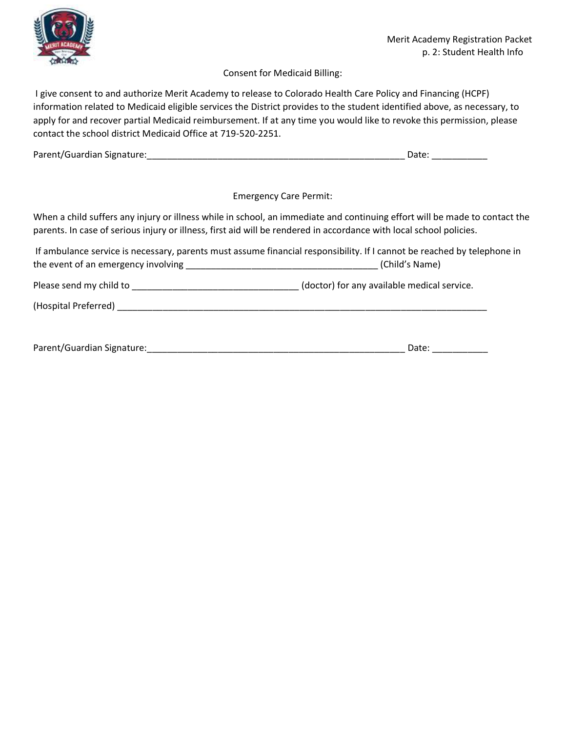

#### Consent for Medicaid Billing:

I give consent to and authorize Merit Academy to release to Colorado Health Care Policy and Financing (HCPF) information related to Medicaid eligible services the District provides to the student identified above, as necessary, to apply for and recover partial Medicaid reimbursement. If at any time you would like to revoke this permission, please contact the school district Medicaid Office at 719-520-2251.

| Parent/Guardian Signature: |  |
|----------------------------|--|
|----------------------------|--|

Emergency Care Permit:

When a child suffers any injury or illness while in school, an immediate and continuing effort will be made to contact the parents. In case of serious injury or illness, first aid will be rendered in accordance with local school policies.

If ambulance service is necessary, parents must assume financial responsibility. If I cannot be reached by telephone in the event of an emergency involving \_\_\_\_\_\_\_\_\_\_\_\_\_\_\_\_\_\_\_\_\_\_\_\_\_\_\_\_\_\_\_\_\_\_\_\_\_\_ (Child's Name)

Please send my child to \_\_\_\_\_\_\_\_\_\_\_\_\_\_\_\_\_\_\_\_\_\_\_\_\_\_\_\_\_\_\_\_\_ (doctor) for any available medical service.

(Hospital Preferred) \_\_\_\_\_\_\_\_\_\_\_\_\_\_\_\_\_\_\_\_\_\_\_\_\_\_\_\_\_\_\_\_\_\_\_\_\_\_\_\_\_\_\_\_\_\_\_\_\_\_\_\_\_\_\_\_\_\_\_\_\_\_\_\_\_\_\_\_\_\_\_\_\_

| Parent/Guardian Signature: |  |
|----------------------------|--|
|----------------------------|--|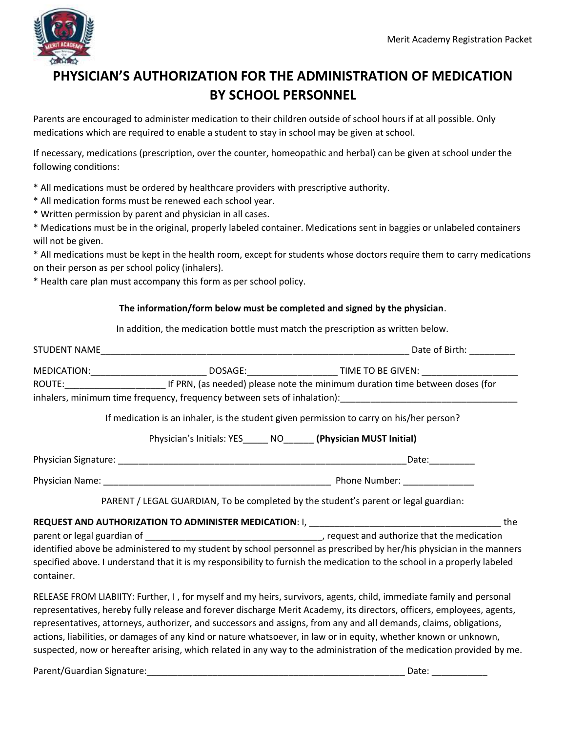

## **PHYSICIAN'S AUTHORIZATION FOR THE ADMINISTRATION OF MEDICATION BY SCHOOL PERSONNEL**

Parents are encouraged to administer medication to their children outside of school hours if at all possible. Only medications which are required to enable a student to stay in school may be given at school.

If necessary, medications (prescription, over the counter, homeopathic and herbal) can be given at school under the following conditions:

\* All medications must be ordered by healthcare providers with prescriptive authority.

- \* All medication forms must be renewed each school year.
- \* Written permission by parent and physician in all cases.

\* Medications must be in the original, properly labeled container. Medications sent in baggies or unlabeled containers will not be given.

\* All medications must be kept in the health room, except for students whose doctors require them to carry medications on their person as per school policy (inhalers).

\* Health care plan must accompany this form as per school policy.

#### **The information/form below must be completed and signed by the physician**.

In addition, the medication bottle must match the prescription as written below.

|            |                                                                    | MEDICATION:__________________________________DOSAGE:___________________________TIME TO BE GIVEN: ___________________                                                                                                                                                                                                                                                                                           |  |
|------------|--------------------------------------------------------------------|----------------------------------------------------------------------------------------------------------------------------------------------------------------------------------------------------------------------------------------------------------------------------------------------------------------------------------------------------------------------------------------------------------------|--|
|            |                                                                    |                                                                                                                                                                                                                                                                                                                                                                                                                |  |
|            |                                                                    | inhalers, minimum time frequency, frequency between sets of inhalation): [14] The manner and the set of inhalation):                                                                                                                                                                                                                                                                                           |  |
|            |                                                                    | If medication is an inhaler, is the student given permission to carry on his/her person?                                                                                                                                                                                                                                                                                                                       |  |
|            | Physician's Initials: YES______ NO_______ (Physician MUST Initial) |                                                                                                                                                                                                                                                                                                                                                                                                                |  |
|            |                                                                    |                                                                                                                                                                                                                                                                                                                                                                                                                |  |
|            |                                                                    |                                                                                                                                                                                                                                                                                                                                                                                                                |  |
|            |                                                                    | PARENT / LEGAL GUARDIAN, To be completed by the student's parent or legal guardian:                                                                                                                                                                                                                                                                                                                            |  |
|            |                                                                    |                                                                                                                                                                                                                                                                                                                                                                                                                |  |
|            |                                                                    |                                                                                                                                                                                                                                                                                                                                                                                                                |  |
| container. |                                                                    | identified above be administered to my student by school personnel as prescribed by her/his physician in the manners<br>specified above. I understand that it is my responsibility to furnish the medication to the school in a properly labeled                                                                                                                                                               |  |
|            |                                                                    | $\mathbf{C} = \mathbf{C} \cdot \mathbf{C} \cdot \mathbf{C} \cdot \mathbf{C} \cdot \mathbf{C}$ and $\mathbf{C} = \mathbf{C} \cdot \mathbf{C}$ and $\mathbf{C} = \mathbf{C} \cdot \mathbf{C} \cdot \mathbf{C}$ and $\mathbf{C} = \mathbf{C} \cdot \mathbf{C} \cdot \mathbf{C}$ and $\mathbf{C} = \mathbf{C} \cdot \mathbf{C} \cdot \mathbf{C}$ and $\mathbf{C} = \mathbf{C} \cdot \mathbf{C} \cdot \mathbf{C}$ a |  |

RELEASE FROM LIABIITY: Further, I , for myself and my heirs, survivors, agents, child, immediate family and personal representatives, hereby fully release and forever discharge Merit Academy, its directors, officers, employees, agents, representatives, attorneys, authorizer, and successors and assigns, from any and all demands, claims, obligations, actions, liabilities, or damages of any kind or nature whatsoever, in law or in equity, whether known or unknown, suspected, now or hereafter arising, which related in any way to the administration of the medication provided by me.

Parent/Guardian Signature:\_\_\_\_\_\_\_\_\_\_\_\_\_\_\_\_\_\_\_\_\_\_\_\_\_\_\_\_\_\_\_\_\_\_\_\_\_\_\_\_\_\_\_\_\_\_\_\_\_\_\_ Date: \_\_\_\_\_\_\_\_\_\_\_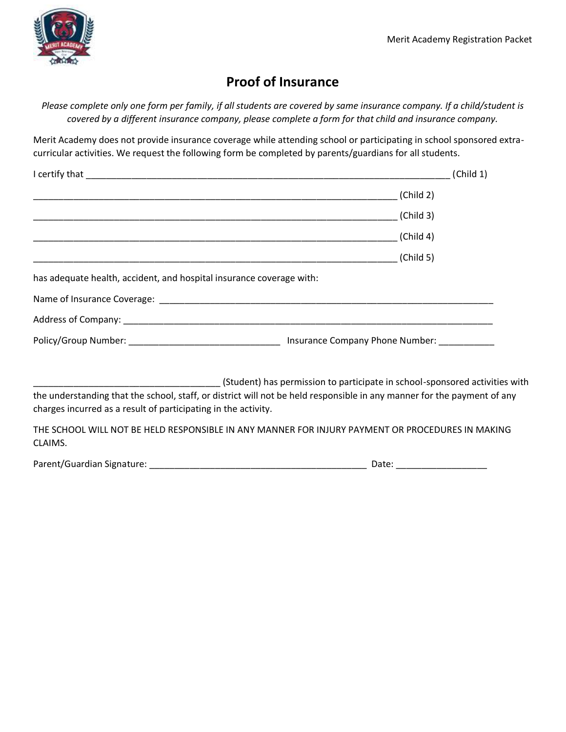

### **Proof of Insurance**

*Please complete only one form per family, if all students are covered by same insurance company. If a child/student is covered by a different insurance company, please complete a form for that child and insurance company.*

Merit Academy does not provide insurance coverage while attending school or participating in school sponsored extracurricular activities. We request the following form be completed by parents/guardians for all students.

|                                                                      | (Child 1)                                                                   |
|----------------------------------------------------------------------|-----------------------------------------------------------------------------|
|                                                                      | (Child 2)                                                                   |
|                                                                      | (Child 3)                                                                   |
|                                                                      | $\Box$ (Child 4)                                                            |
|                                                                      | (Child 5)                                                                   |
| has adequate health, accident, and hospital insurance coverage with: |                                                                             |
|                                                                      |                                                                             |
|                                                                      |                                                                             |
|                                                                      |                                                                             |
|                                                                      | (Student) has permission to participate in school-sponsored activities with |

the understanding that the school, staff, or district will not be held responsible in any manner for the payment of any charges incurred as a result of participating in the activity.

THE SCHOOL WILL NOT BE HELD RESPONSIBLE IN ANY MANNER FOR INJURY PAYMENT OR PROCEDURES IN MAKING CLAIMS.

Parent/Guardian Signature: \_\_\_\_\_\_\_\_\_\_\_\_\_\_\_\_\_\_\_\_\_\_\_\_\_\_\_\_\_\_\_\_\_\_\_\_\_\_\_\_\_\_\_ Date: \_\_\_\_\_\_\_\_\_\_\_\_\_\_\_\_\_\_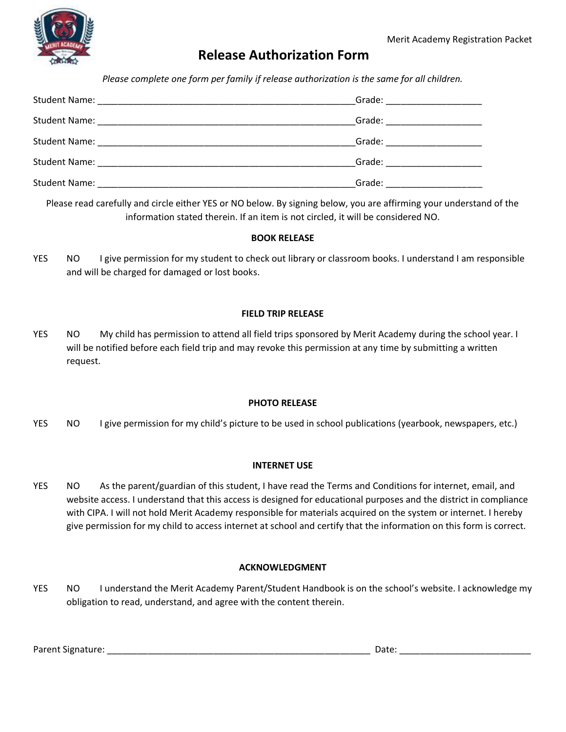

### **Release Authorization Form**

*Please complete one form per family if release authorization is the same for all children.*

| Grade: $\frac{1}{\sqrt{1-\frac{1}{2}}}\frac{1}{\sqrt{1-\frac{1}{2}}}\frac{1}{\sqrt{1-\frac{1}{2}}}\frac{1}{\sqrt{1-\frac{1}{2}}}\frac{1}{\sqrt{1-\frac{1}{2}}}\frac{1}{\sqrt{1-\frac{1}{2}}}\frac{1}{\sqrt{1-\frac{1}{2}}}\frac{1}{\sqrt{1-\frac{1}{2}}}\frac{1}{\sqrt{1-\frac{1}{2}}}\frac{1}{\sqrt{1-\frac{1}{2}}}\frac{1}{\sqrt{1-\frac{1}{2}}}\frac{1}{\sqrt{1-\frac{1}{2}}}\frac{1}{\sqrt{1-\frac{1}{2}}}\frac{1}{$ |
|--------------------------------------------------------------------------------------------------------------------------------------------------------------------------------------------------------------------------------------------------------------------------------------------------------------------------------------------------------------------------------------------------------------------------|
| Grade: ______________________                                                                                                                                                                                                                                                                                                                                                                                            |
| Grade: ______________________                                                                                                                                                                                                                                                                                                                                                                                            |
|                                                                                                                                                                                                                                                                                                                                                                                                                          |
| Grade: <u>contract of the set of the set of the set of the set of the set of the set of the set of the set of the set of the set of the set of the set of the set of the set of the set of the set of the set of the set of the </u>                                                                                                                                                                                     |

Please read carefully and circle either YES or NO below. By signing below, you are affirming your understand of the information stated therein. If an item is not circled, it will be considered NO.

#### **BOOK RELEASE**

YES NO I give permission for my student to check out library or classroom books. I understand I am responsible and will be charged for damaged or lost books.

#### **FIELD TRIP RELEASE**

YES NO My child has permission to attend all field trips sponsored by Merit Academy during the school year. I will be notified before each field trip and may revoke this permission at any time by submitting a written request.

#### **PHOTO RELEASE**

YES NO I give permission for my child's picture to be used in school publications (yearbook, newspapers, etc.)

#### **INTERNET USE**

YES NO As the parent/guardian of this student, I have read the Terms and Conditions for internet, email, and website access. I understand that this access is designed for educational purposes and the district in compliance with CIPA. I will not hold Merit Academy responsible for materials acquired on the system or internet. I hereby give permission for my child to access internet at school and certify that the information on this form is correct.

#### **ACKNOWLEDGMENT**

YES NO I understand the Merit Academy Parent/Student Handbook is on the school's website. I acknowledge my obligation to read, understand, and agree with the content therein.

Parent Signature: \_\_\_\_\_\_\_\_\_\_\_\_\_\_\_\_\_\_\_\_\_\_\_\_\_\_\_\_\_\_\_\_\_\_\_\_\_\_\_\_\_\_\_\_\_\_\_\_\_\_\_\_ Date: \_\_\_\_\_\_\_\_\_\_\_\_\_\_\_\_\_\_\_\_\_\_\_\_\_\_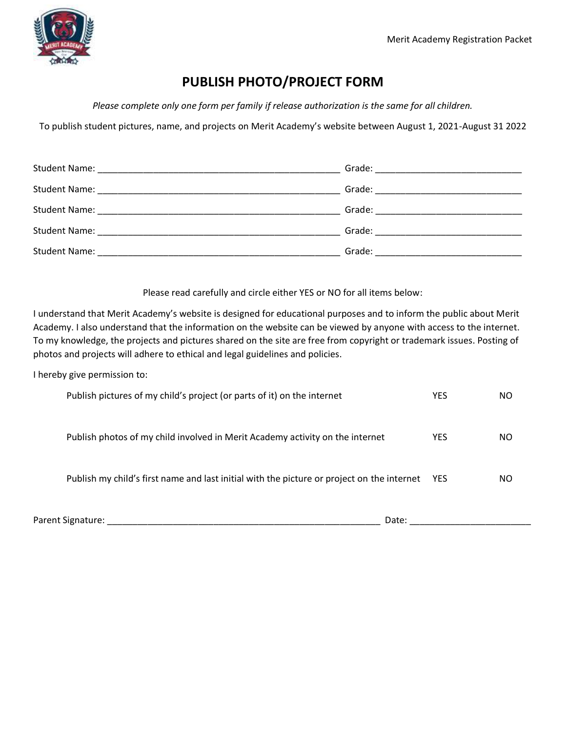

## **PUBLISH PHOTO/PROJECT FORM**

*Please complete only one form per family if release authorization is the same for all children.*

To publish student pictures, name, and projects on Merit Academy's website between August 1, 2021-August 31 2022

| <b>Student Name:</b> | Grade: The Commission of the Commission of the Commission of the Commission of the Commission of the Commission |
|----------------------|-----------------------------------------------------------------------------------------------------------------|

Please read carefully and circle either YES or NO for all items below:

I understand that Merit Academy's website is designed for educational purposes and to inform the public about Merit Academy. I also understand that the information on the website can be viewed by anyone with access to the internet. To my knowledge, the projects and pictures shared on the site are free from copyright or trademark issues. Posting of photos and projects will adhere to ethical and legal guidelines and policies.

I hereby give permission to:

| Parent Signature:<br>Date:                                                                 |            |    |
|--------------------------------------------------------------------------------------------|------------|----|
| Publish my child's first name and last initial with the picture or project on the internet | YES        | ΝO |
| Publish photos of my child involved in Merit Academy activity on the internet              | <b>YES</b> | ΝO |
| Publish pictures of my child's project (or parts of it) on the internet                    | <b>YES</b> | ΝO |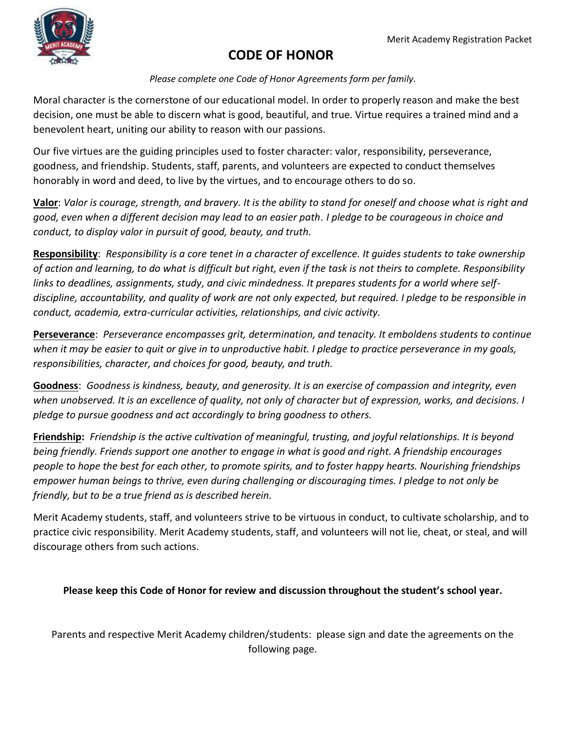

### **CODE OF HONOR**

*Please complete one Code of Honor Agreements form per family.*

Moral character is the cornerstone of our educational model. In order to properly reason and make the best decision, one must be able to discern what is good, beautiful, and true. Virtue requires a trained mind and a benevolent heart, uniting our ability to reason with our passions.

Our five virtues are the guiding principles used to foster character: valor, responsibility, perseverance, goodness, and friendship. Students, staff, parents, and volunteers are expected to conduct themselves honorably in word and deed, to live by the virtues, and to encourage others to do so.

**Valor**: *Valor is courage, strength, and bravery. It is the ability to stand for oneself and choose what is right and good, even when a different decision may lead to an easier path. I pledge to be courageous in choice and conduct, to display valor in pursuit of good, beauty, and truth.*

**Responsibility**: *Responsibility is a core tenet in a character of excellence. It guides students to take ownership of action and learning, to do what is difficult but right, even if the task is not theirs to complete. Responsibility links to deadlines, assignments, study, and civic mindedness. It prepares students for a world where selfdiscipline, accountability, and quality of work are not only expected, but required. I pledge to be responsible in conduct, academia, extra-curricular activities, relationships, and civic activity.*

**Perseverance**: *Perseverance encompasses grit, determination, and tenacity. It emboldens students to continue when it may be easier to quit or give in to unproductive habit. I pledge to practice perseverance in my goals, responsibilities, character, and choices for good, beauty, and truth.* 

**Goodness**: *Goodness is kindness, beauty, and generosity. It is an exercise of compassion and integrity, even*  when unobserved. It is an excellence of quality, not only of character but of expression, works, and decisions. I *pledge to pursue goodness and act accordingly to bring goodness to others.* 

**Friendship:** *Friendship is the active cultivation of meaningful, trusting, and joyful relationships. It is beyond being friendly. Friends support one another to engage in what is good and right. A friendship encourages people to hope the best for each other, to promote spirits, and to foster happy hearts. Nourishing friendships empower human beings to thrive, even during challenging or discouraging times. I pledge to not only be friendly, but to be a true friend as is described herein.*

Merit Academy students, staff, and volunteers strive to be virtuous in conduct, to cultivate scholarship, and to practice civic responsibility. Merit Academy students, staff, and volunteers will not lie, cheat, or steal, and will discourage others from such actions.

### **Please keep this Code of Honor for review and discussion throughout the student's school year.**

Parents and respective Merit Academy children/students: please sign and date the agreements on the following page.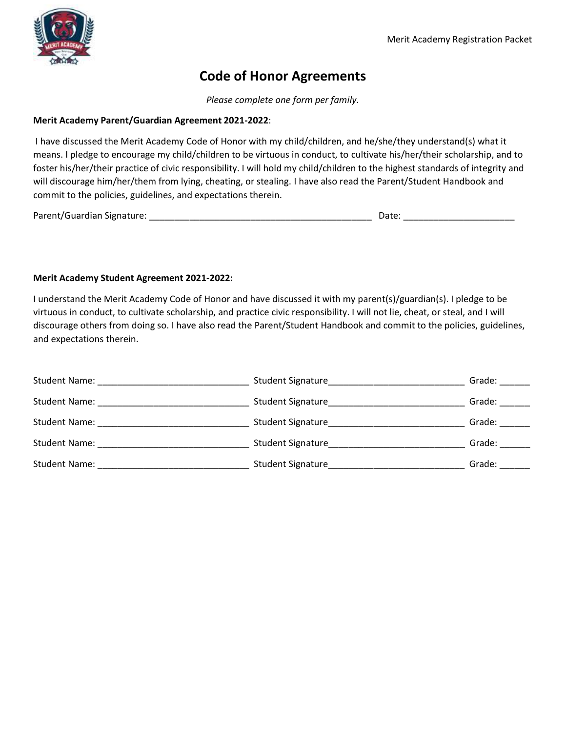

### **Code of Honor Agreements**

*Please complete one form per family.*

#### **Merit Academy Parent/Guardian Agreement 2021-2022**:

I have discussed the Merit Academy Code of Honor with my child/children, and he/she/they understand(s) what it means. I pledge to encourage my child/children to be virtuous in conduct, to cultivate his/her/their scholarship, and to foster his/her/their practice of civic responsibility. I will hold my child/children to the highest standards of integrity and will discourage him/her/them from lying, cheating, or stealing. I have also read the Parent/Student Handbook and commit to the policies, guidelines, and expectations therein.

Parent/Guardian Signature: \_\_\_\_\_\_\_\_\_\_\_\_\_\_\_\_\_\_\_\_\_\_\_\_\_\_\_\_\_\_\_\_\_\_\_\_\_\_\_\_\_\_\_\_ Date: \_\_\_\_\_\_\_\_\_\_\_\_\_\_\_\_\_\_\_\_\_\_

#### **Merit Academy Student Agreement 2021-2022:**

I understand the Merit Academy Code of Honor and have discussed it with my parent(s)/guardian(s). I pledge to be virtuous in conduct, to cultivate scholarship, and practice civic responsibility. I will not lie, cheat, or steal, and I will discourage others from doing so. I have also read the Parent/Student Handbook and commit to the policies, guidelines, and expectations therein.

| <b>Student Name:</b> | Student Signature | Grade: |
|----------------------|-------------------|--------|
| Student Name:        | Student Signature | Grade: |
| <b>Student Name:</b> | Student Signature | Grade: |
| <b>Student Name:</b> | Student Signature | Grade: |
| <b>Student Name:</b> | Student Signature | Grade: |